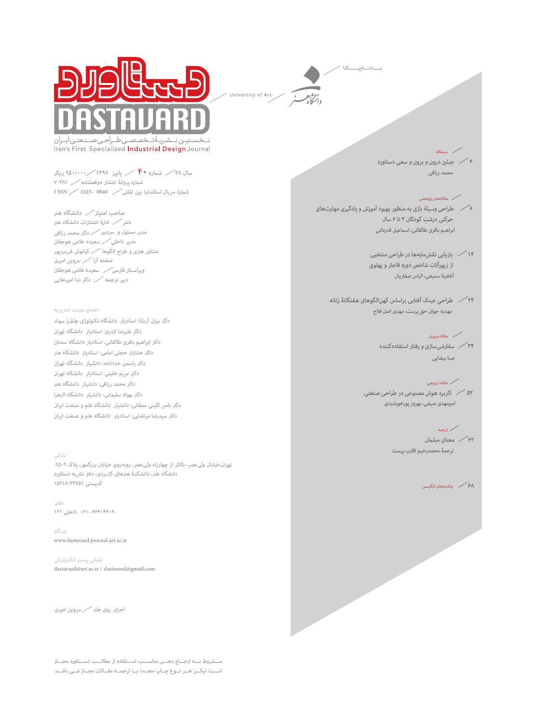



بخصصتي طسراحتي صسنعتني أيسران −;å Iran's First Specialized Industrial Design Journal

سال ۲۸  $\diagup \mathfrak{p} \bullet$  شماره  $\mathfrak{p} \bullet \mathfrak{p}$  پاییز ۱۳۹۷  $\diagup$ ۹۵۰/۰۰۰ شامره پروانۀ انتشار دوفصلنامه 70381 شامرۀ رسیال استاندارد بین املللی 0840 1025- SSN I

صاحب امتیاز دانشگاه هرن ناشر کر ادارهٔ انتشارات دانشگاه هنر مدیر مسئول و رسدبیر دکرت محمد رزاقی مدیر داخلی سعیده غالمی هوجقان مشاور هرنی و طراح الگوها کیانوش غریب پور صفحه آرا رسوین امیری ویراسـتار فارسی سعیده غالمی هوجقان دبیر ترجمه دکرت ندا امیرعالیی

#### اعضای هیئت تحریریه

دکرت بیژن آریانا: استادیار دانشگاه تکنولوژی چاملرز سوئد دکرت علیرضا اژدری: استادیار دانشگاه تهران دکرت ابراهیم باقری طالقانی: استادیار دانشگاه سمنان دکرت خشایار حجتی امامی: استادیار دانشگاه هرن دکرت یاسمن خداداده: دانشیار دانشگاه تهران دکرت مریم خلیلی: استادیار دانشگاه تهران دکرت محمد رزاقی: دانشیار دانشگاه هرن دکرت بهزاد سلیامنی: دانشیار دانشگاه الزهرا دکتر ناصر کلینی ممقانی: دانشیار دانشگاه علم و صنعت ایران دکرت سیدرضا مرتضایی: استادیار دانشگاه علم و صنعت ایران

## نشانی

تهران،خیابان ولیءصر، بالاتر از چهارراه ولیءصر، روبهروی خیابان بزرگمهر، پلاک ۱۵۰۹، دانشگاه هرن، دانشکدۀ هرنهای کاربردی، دفرت نرشیه دستاورد کدپستی 15916-33651

تلفن 66404409 021- داخلی 121

وبـگاه www.dastavard.journal.art.ac.ir

نشانی پست الکرتونیکی dastavard@art.ac.ir / dastavard@gmail.com

اجرای روی جلد رسوین امیری

مـــروط بـــه ارجـــاع دهـــی مناســـب، اســـتفاده از مطالـــب دســـتاورد مجـــاز اســت؛ لیکـــن هـــر نـــوع چـــاپ مجـــدد یـــا ترجمـــه مقـــالات مجـــاز محــی باشـــد.

4 جبلني درون و برون و سعی دستاورد محمد رزاقی

## مقالههای پژوهشی

رسمقاله

6 طراحی وسیلۀ بازی به منظور بهبود آموزش و یادگیری مهارتهای ِ حركتی درشت کودکان 3 تا 6 سال ابراهيم باقری طالقانی، اسامعيل قدردانی

> 14 بازیابی نقشمایهها در طراحی منتخبی از زیورآالت شاخص دوره قاجار و پهلوی آناهیتا سمیعی، الیاس صفاریان

24 ِ طراحی عینک آفتابی براساس کهنالگوهای هفتگانۀ زنانه مهديه جوان حق پرست، مهدی اصل فالح

## مقاله مروری

34 سفارشیسازی و رفتار استفادهکننده صبا بيضايی

## مقاله ترويجی

52 کاربرد هوش مصنوعی در طراحی صنعتی امريمهدی صيفی، بهروز پورخورشیدی

# ترجمه

62 معنای مبلامن ترجمۀ محمدرحیم اقارب پرست

68 چکیدههای انگلیسی